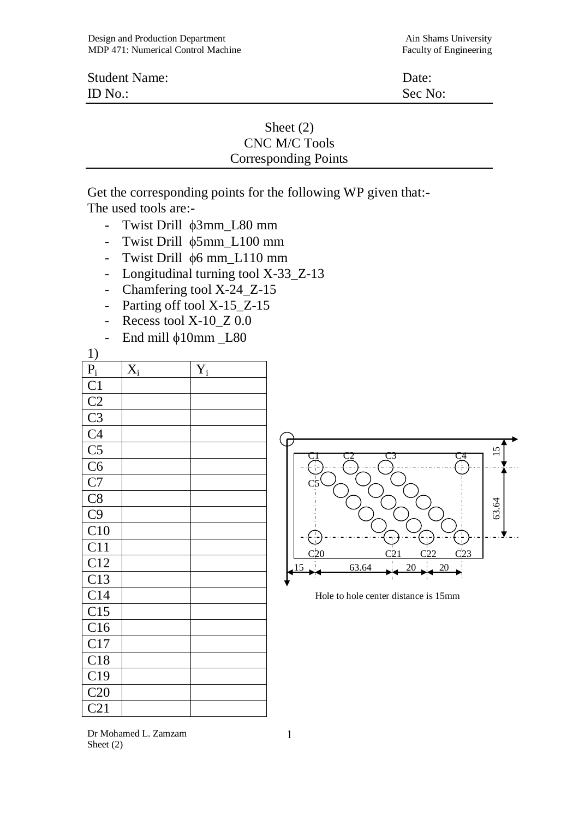| <b>Student Name:</b> | Date:   |
|----------------------|---------|
| ID $No.$ :           | Sec No: |

## Sheet (2) CNC M/C Tools Corresponding Points

Get the corresponding points for the following WP given that:- The used tools are:-

- Twist Drill φ3mm\_L80 mm
- Twist Drill  $\phi$ 5mm L100 mm
- Twist Drill φ6 mm\_L110 mm
- Longitudinal turning tool X-33\_Z-13
- Chamfering tool X-24\_Z-15
- Parting off tool X-15\_Z-15
- Recess tool X-10\_Z 0.0
- End mill  $\phi$ 10mm L80

1)

| <u>1)</u>                                                                                                          |                  |                  |
|--------------------------------------------------------------------------------------------------------------------|------------------|------------------|
| $\frac{\overline{P_i}}{\overline{C1}}$ $\frac{\overline{C2}}{\overline{C3}}$ $\frac{\overline{C4}}{\overline{C5}}$ | $\overline{X}_i$ | $\overline{Y}_i$ |
|                                                                                                                    |                  |                  |
|                                                                                                                    |                  |                  |
|                                                                                                                    |                  |                  |
|                                                                                                                    |                  |                  |
|                                                                                                                    |                  |                  |
|                                                                                                                    |                  |                  |
| $\frac{\overline{C}}{\overline{C}}$ $\frac{\overline{C}}{\overline{C}}$ $\frac{\overline{C}}{\overline{C}}$        |                  |                  |
|                                                                                                                    |                  |                  |
|                                                                                                                    |                  |                  |
| $\overline{C10}$                                                                                                   |                  |                  |
| C11                                                                                                                |                  |                  |
| C12                                                                                                                |                  |                  |
| $\overline{C13}$                                                                                                   |                  |                  |
| C14                                                                                                                |                  |                  |
| $\overline{C15}$                                                                                                   |                  |                  |
| C16                                                                                                                |                  |                  |
| C17                                                                                                                |                  |                  |
| C18                                                                                                                |                  |                  |
| C19                                                                                                                |                  |                  |
| C20                                                                                                                |                  |                  |
| $\overline{C21}$                                                                                                   |                  |                  |



Hole to hole center distance is 15mm

Dr Mohamed L. Zamzam Sheet (2)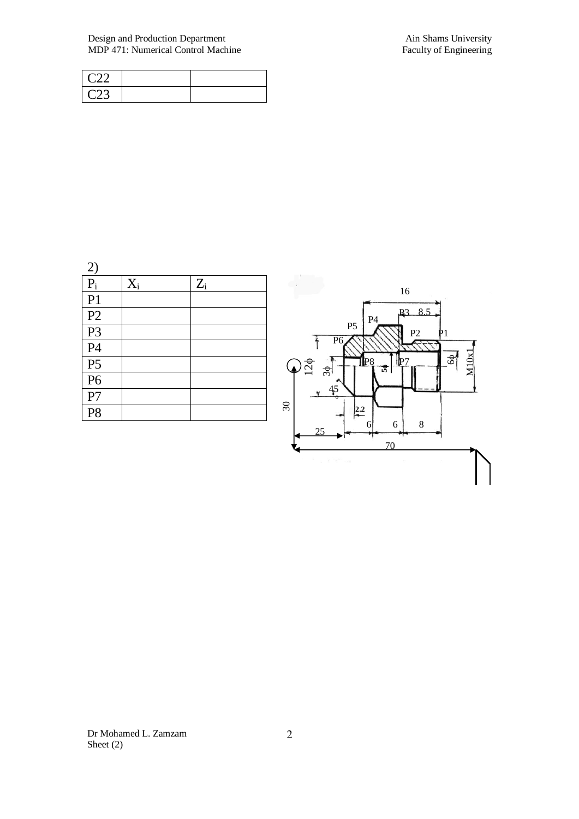## Design and Production Department Ain Shams University<br>
MDP 471: Numerical Control Machine Faculty of Engineering MDP 471: Numerical Control Machine

| $\cap$           |  |
|------------------|--|
| $\cap$<br>ں سے ر |  |

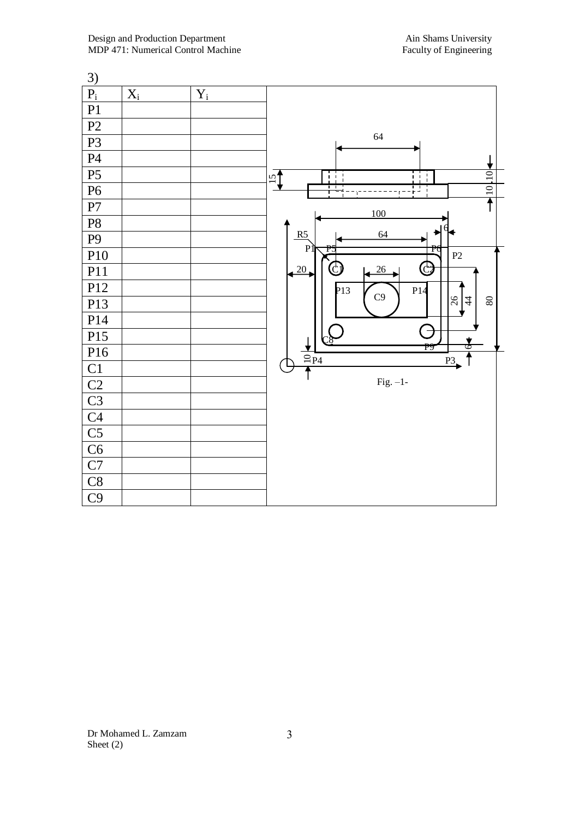| 3)                              |             |       |                                                              |
|---------------------------------|-------------|-------|--------------------------------------------------------------|
| $\mathbf{P}_{\mathrm{i}}$       | $X_{\rm i}$ | $Y_i$ |                                                              |
| P1                              |             |       |                                                              |
| P2                              |             |       |                                                              |
| P <sub>3</sub>                  |             |       | 64                                                           |
| P <sub>4</sub>                  |             |       |                                                              |
| P <sub>5</sub>                  |             |       | W<br>$\frac{15}{1}$<br>$\blacksquare$<br>Ħ<br>$\blacksquare$ |
| P <sub>6</sub>                  |             |       | $\frac{1}{\sqrt{10}}$<br>$\overline{\mathbb{L}}$             |
| ${\bf P}7$                      |             |       | 100                                                          |
| $\mathbf{P}8$                   |             |       |                                                              |
| $\mathbf{P}9$                   |             |       | 64<br>R5<br>P<br>r                                           |
| P10                             |             |       | P2                                                           |
| P11                             |             |       | C)<br>20<br>26                                               |
| P12                             |             |       | P13<br>P14<br>C9                                             |
| P13                             |             |       | $\frac{26}{5}$<br>$80\,$<br>$\overline{4}$                   |
| P14                             |             |       |                                                              |
| P15                             |             |       | f<br>$\frac{1}{2}$<br>P9                                     |
| P16                             |             |       | ↑<br>$\frac{2}{1}P4$<br>P <sup>3</sup>                       |
| C1                              |             |       |                                                              |
|                                 |             |       | $Fig. -1-$                                                   |
| $\frac{C2}{C3}$ $\frac{C4}{C5}$ |             |       |                                                              |
|                                 |             |       |                                                              |
|                                 |             |       |                                                              |
|                                 |             |       |                                                              |
| C7                              |             |       |                                                              |
| C8                              |             |       |                                                              |
| C9                              |             |       |                                                              |